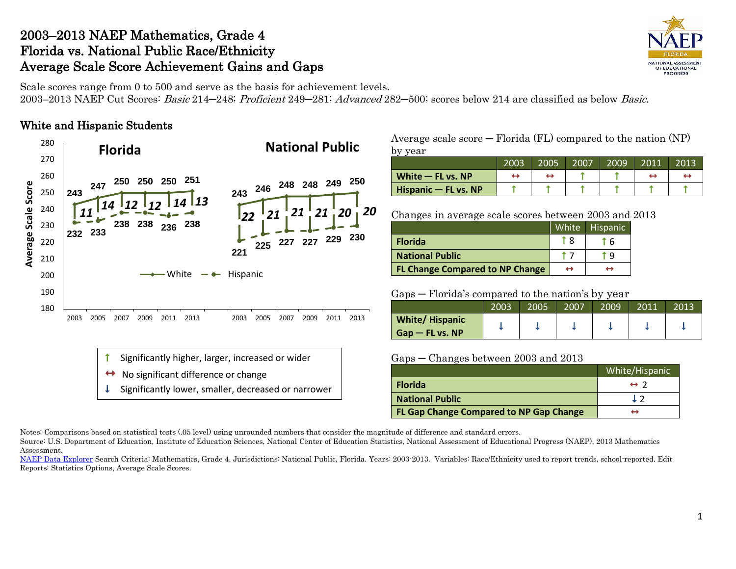## 2003–2013 NAEP Mathematics, Grade 4 Florida vs. National Public Race/Ethnicity Average Scale Score Achievement Gains and Gaps



Scale scores range from 0 to 500 and serve as the basis for achievement levels. 2003–2013 NAEP Cut Scores: Basic 214–248; Proficient 249–281; Advanced 282–500; scores below 214 are classified as below Basic.

### White and Hispanic Students



- No significant difference or change
- Significantly lower, smaller, decreased or narrower

Average scale  $score - Florida (FL)$  compared to the nation  $(NP)$ by year

|                        | 2003 | 2005 | 2007 | 2009 | 2011 | 2013 |
|------------------------|------|------|------|------|------|------|
| White $-$ FL vs. NP    |      |      |      |      |      |      |
| Hispanic $-$ FL vs. NP |      |      |      |      |      |      |

Changes in average scale scores between 2003 and 2013

|                                        | White | <b>Hispanic</b> |
|----------------------------------------|-------|-----------------|
| <b>Florida</b>                         |       |                 |
| <b>National Public</b>                 |       | ۰q              |
| <b>FL Change Compared to NP Change</b> | ↔     | ↔               |

Gaps ─ Florida's compared to the nation's by year

|                                            | 2003 | 2005 | 2007 | 2009 | 2011 | 2013 |
|--------------------------------------------|------|------|------|------|------|------|
| <b>White/Hispanic</b><br>$Gap$ – FL vs. NP |      |      |      |      |      |      |

#### Gaps ─ Changes between 2003 and 2013

|                                         | White/Hispanic      |
|-----------------------------------------|---------------------|
| <b>Florida</b>                          | $\leftrightarrow$ 2 |
| <b>National Public</b>                  |                     |
| FL Gap Change Compared to NP Gap Change |                     |

Notes: Comparisons based on statistical tests (.05 level) using unrounded numbers that consider the magnitude of difference and standard errors.

Source: U.S. Department of Education, Institute of Education Sciences, National Center of Education Statistics, National Assessment of Educational Progress (NAEP), 2013 Mathematics Assessment.

[NAEP Data Explorer](http://nces.ed.gov/nationsreportcard/naepdata/) Search Criteria: Mathematics, Grade 4. Jurisdictions: National Public, Florida. Years: 2003-2013. Variables: Race/Ethnicity used to report trends, school-reported. Edit Reports: Statistics Options, Average Scale Scores.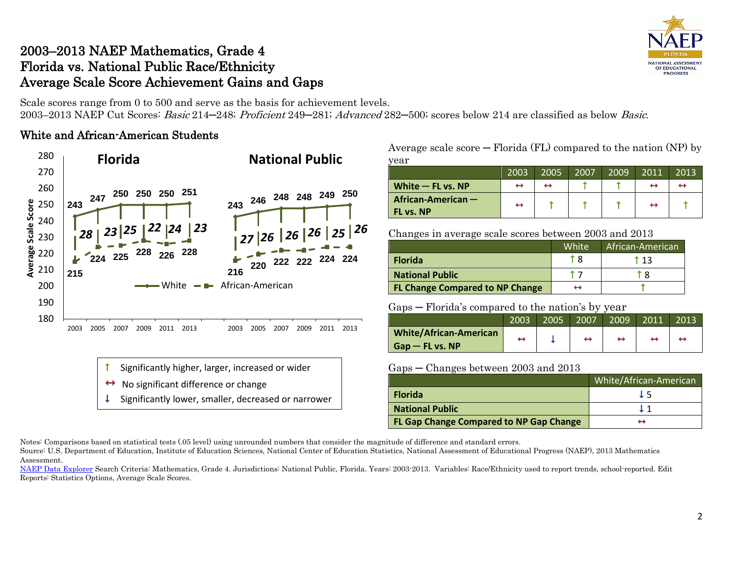# 2003–2013 NAEP Mathematics, Grade 4 Florida vs. National Public Race/Ethnicity Average Scale Score Achievement Gains and Gaps

**NATIONAL ASSESSMENT** OF EDUCATIONAL **PROGRESS** 

Scale scores range from 0 to 500 and serve as the basis for achievement levels. 2003–2013 NAEP Cut Scores: Basic 214–248; Proficient 249–281; Advanced 282–500; scores below 214 are classified as below Basic.

### White and African-American Students



- Significantly higher, larger, increased or wider
- No significant difference or change
- Significantly lower, smaller, decreased or narrower

Average scale score  $-$  Florida (FL) compared to the nation (NP) by year

| $\sim$ u            |                   |      |      |      |      |      |
|---------------------|-------------------|------|------|------|------|------|
|                     | 2003              | 2005 | 2007 | 2009 | 2011 | 2013 |
| White $-$ FL vs. NP | ↔                 |      |      |      |      |      |
| African-American -  | $\leftrightarrow$ |      |      |      | ↤    |      |
| FL vs. NP           |                   |      |      |      |      |      |

Changes in average scale scores between 2003 and 2013

|                                        | White <sup>'</sup> | African-American |
|----------------------------------------|--------------------|------------------|
| <b>Florida</b>                         | t R                | † 13             |
| <b>National Public</b>                 |                    | r R              |
| <b>FL Change Compared to NP Change</b> |                    |                  |

### Gaps ─ Florida's compared to the nation's by year

|                               | 2003 | 2005 | 2007 | 2009 | 2011 | 2013 |
|-------------------------------|------|------|------|------|------|------|
| <b>White/African-American</b> |      |      | ↔    |      |      |      |
| $G$ ap — FL vs. NP            |      |      |      |      |      |      |

### Gaps ─ Changes between 2003 and 2013

|                                                | White/African-American |
|------------------------------------------------|------------------------|
| <b>Florida</b>                                 | <b>L5</b>              |
| <b>National Public</b>                         |                        |
| <b>FL Gap Change Compared to NP Gap Change</b> |                        |

Notes: Comparisons based on statistical tests (.05 level) using unrounded numbers that consider the magnitude of difference and standard errors.

Source: U.S. Department of Education, Institute of Education Sciences, National Center of Education Statistics, National Assessment of Educational Progress (NAEP), 2013 Mathematics Assessment.

[NAEP Data Explorer](http://nces.ed.gov/nationsreportcard/naepdata/) Search Criteria: Mathematics, Grade 4. Jurisdictions: National Public, Florida. Years: 2003-2013. Variables: Race/Ethnicity used to report trends, school-reported. Edit Reports: Statistics Options, Average Scale Scores.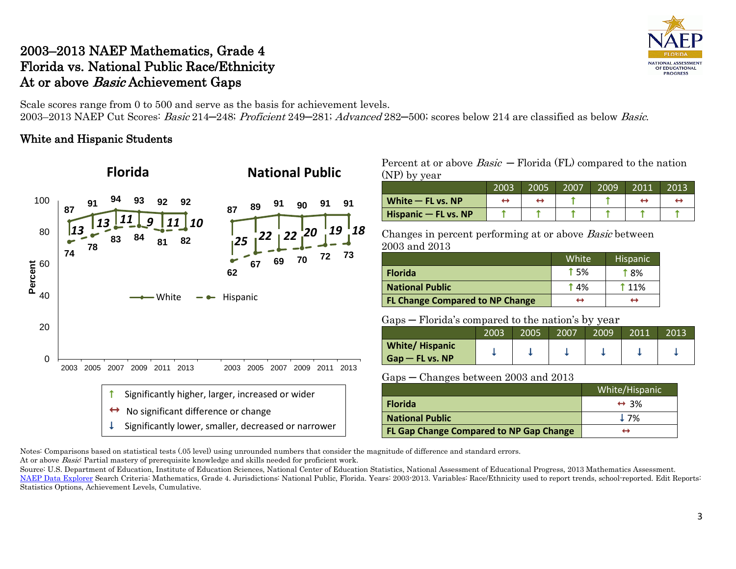# 2003–2013 NAEP Mathematics, Grade 4 Florida vs. National Public Race/Ethnicity At or above *Basic* Achievement Gaps

Scale scores range from 0 to 500 and serve as the basis for achievement levels. 2003–2013 NAEP Cut Scores: Basic 214–248; Proficient 249–281; Advanced 282–500; scores below 214 are classified as below Basic.

### White and Hispanic Students



#### Percent at or above  $Basic$  – Florida (FL) compared to the nation (NP) by year

|                           | 2003 | 2005 | 2007 | 2009 | 2011 | 2013 |
|---------------------------|------|------|------|------|------|------|
| White $-$ FL vs. NP       |      |      |      |      |      |      |
| $H$ ispanic $-$ FL vs. NP |      |      |      |      |      |      |

Changes in percent performing at or above Basic between 2003 and 2013

|                                        | White            | <b>Hispanic</b> |
|----------------------------------------|------------------|-----------------|
| <b>Florida</b>                         | $\uparrow$ 5%    | t 8%            |
| <b>National Public</b>                 | T <sub>4</sub> % | †11%            |
| <b>FL Change Compared to NP Change</b> | ↔                | ↔               |

#### Gaps — Florida's compared to the nation's by year

|                                            | 2003 | 2005 | 2007 | 2009 | 2011 | 2013 |
|--------------------------------------------|------|------|------|------|------|------|
| <b>White/Hispanic</b><br>$Gap$ – FL vs. NP |      |      |      |      |      |      |

Gaps ─ Changes between 2003 and 2013

|                                                | White/Hispanic       |
|------------------------------------------------|----------------------|
| <b>Florida</b>                                 | $\leftrightarrow$ 3% |
| <b>National Public</b>                         | 17%                  |
| <b>FL Gap Change Compared to NP Gap Change</b> |                      |

Notes: Comparisons based on statistical tests (.05 level) using unrounded numbers that consider the magnitude of difference and standard errors. At or above *Basic*: Partial mastery of prerequisite knowledge and skills needed for proficient work.

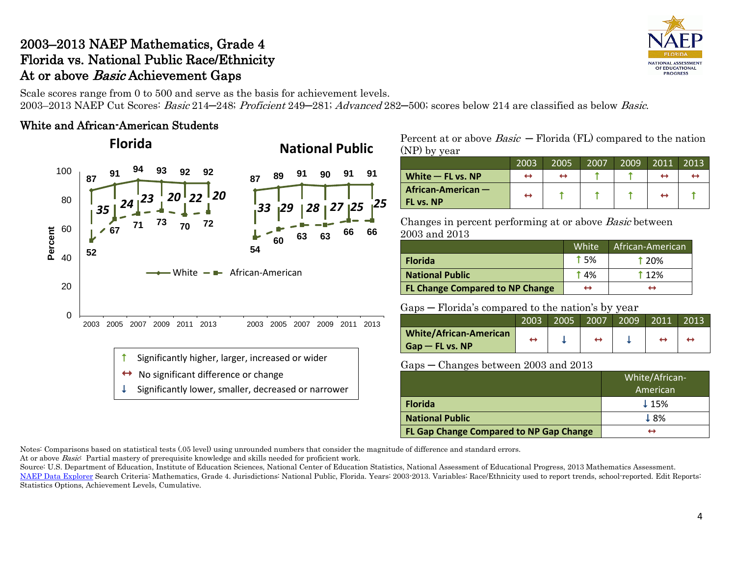# 2003–2013 NAEP Mathematics, Grade 4 Florida vs. National Public Race/Ethnicity At or above *Basic* Achievement Gaps

Scale scores range from 0 to 500 and serve as the basis for achievement levels. 2003–2013 NAEP Cut Scores: Basic 214–248; Proficient 249–281; Advanced 282–500; scores below 214 are classified as below Basic.

### White and African-American Students

# **National Public Florida**



 $\uparrow$  Significantly higher, larger, increased or wider

- $\leftrightarrow$  No significant difference or change
- Significantly lower, smaller, decreased or narrower

Percent at or above  $Basic$  – Florida (FL) compared to the nation (NP) by year

|                     | 2003 | 2005 | 2007 | 2009 | 2011              | 2013 |
|---------------------|------|------|------|------|-------------------|------|
| White $-$ FL vs. NP | ↔    | ↔    |      |      | ↔                 |      |
| African-American -  | ↔    |      |      |      | $\leftrightarrow$ |      |
| <b>FL vs. NP</b>    |      |      |      |      |                   |      |

Changes in percent performing at or above Basic between 2003 and 2013

|                                        | White      | African-American |
|----------------------------------------|------------|------------------|
| <b>Florida</b>                         | <b>15%</b> | <b>120%</b>      |
| <b>National Public</b>                 | 14%        | <b>112%</b>      |
| <b>FL Change Compared to NP Change</b> | ↔          | ↤                |

### Gaps ─ Florida's compared to the nation's by year

|                               | 2003 | 2005 | 2007 | 2009 | 2011 | 2013 |
|-------------------------------|------|------|------|------|------|------|
| <b>White/African-American</b> |      |      |      |      |      |      |
| $G$ ap — FL vs. NP            |      |      |      |      |      |      |

### Gaps ─ Changes between 2003 and 2013

|                                         | White/African-   |
|-----------------------------------------|------------------|
|                                         | American         |
| <b>Florida</b>                          | $\downarrow$ 15% |
| <b>National Public</b>                  | 18%              |
| FL Gap Change Compared to NP Gap Change | ↔                |

Notes: Comparisons based on statistical tests (.05 level) using unrounded numbers that consider the magnitude of difference and standard errors.

At or above Basic: Partial mastery of prerequisite knowledge and skills needed for proficient work.

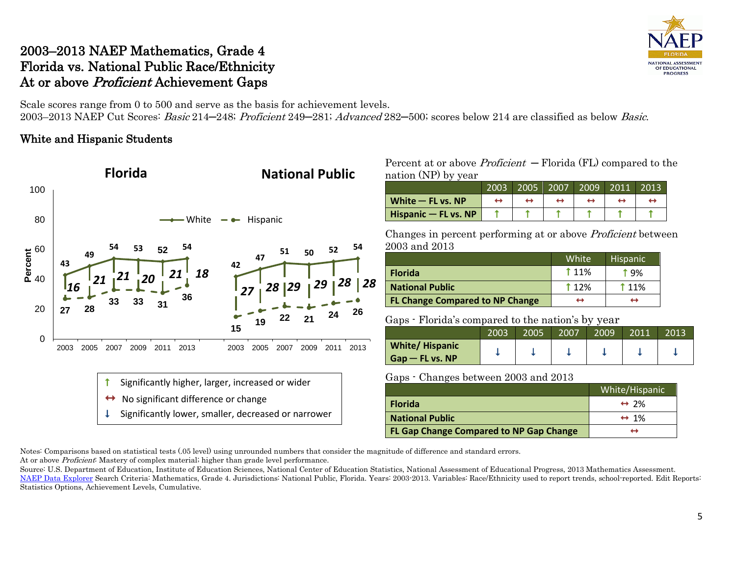# 2003–2013 NAEP Mathematics, Grade 4 Florida vs. National Public Race/Ethnicity At or above Proficient Achievement Gaps

Scale scores range from 0 to 500 and serve as the basis for achievement levels. 2003–2013 NAEP Cut Scores: Basic 214–248; Proficient 249–281; Advanced 282–500; scores below 214 are classified as below Basic.

### White and Hispanic Students



Percent at or above  $Profit - Florida (FL)$  compared to the nation (NP) by year

|                        | 2003 | 2005 | 2007 | 2009 | 2011 | 2013 |
|------------------------|------|------|------|------|------|------|
| White $-$ FL vs. NP    |      |      |      |      |      |      |
| Hispanic $-$ FL vs. NP |      |      |      |      |      |      |

Changes in percent performing at or above Proficient between 2003 and 2013

|                                        | White <sup>1</sup> | <b>Hispanic</b> |
|----------------------------------------|--------------------|-----------------|
| <b>Florida</b>                         | <b>11%</b>         | † ዓ%            |
| <b>National Public</b>                 | $\uparrow$ 12%     | <b>11%</b>      |
| <b>FL Change Compared to NP Change</b> | ↔                  | ↔               |

Gaps - Florida's compared to the nation's by year

|                       | 2003 | 2005 | 2007 | $\overline{\phantom{a}}$<br>2009 | 2011 | 2013 |
|-----------------------|------|------|------|----------------------------------|------|------|
| <b>White/Hispanic</b> |      |      |      |                                  |      |      |
| $G$ ap — FL vs. NP    |      |      |      |                                  |      |      |

Gaps - Changes between 2003 and 2013

|                                         | White/Hispanic       |
|-----------------------------------------|----------------------|
| <b>Florida</b>                          | $\leftrightarrow$ 2% |
| <b>National Public</b>                  | $\leftrightarrow$ 1% |
| FL Gap Change Compared to NP Gap Change | ↤                    |

Notes: Comparisons based on statistical tests (.05 level) using unrounded numbers that consider the magnitude of difference and standard errors. At or above *Proficient*: Mastery of complex material; higher than grade level performance.